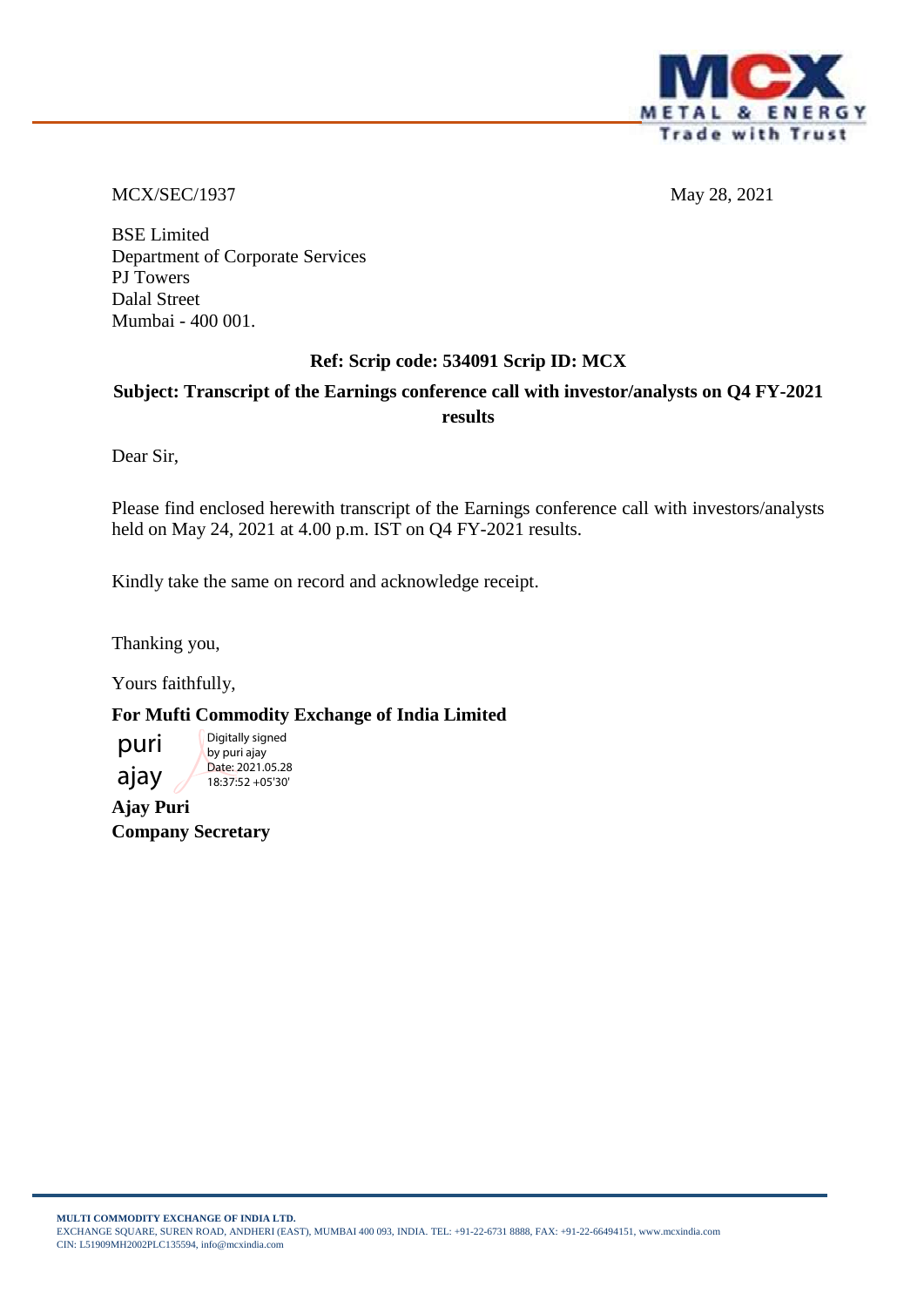

MCX/SEC/1937 May 28, 2021

BSE Limited Department of Corporate Services PJ Towers Dalal Street Mumbai - 400 001.

# **Ref: Scrip code: 534091 Scrip ID: MCX**

# **Subject: Transcript of the Earnings conference call with investor/analysts on Q4 FY-2021 results**

Dear Sir,

Please find enclosed herewith transcript of the Earnings conference call with investors/analysts held on May 24, 2021 at 4.00 p.m. IST on Q4 FY-2021 results.

Kindly take the same on record and acknowledge receipt.

Thanking you,

Yours faithfully,

**For Mufti Commodity Exchange of India Limited**

puri ajay Digitally signed by puri ajay Date: 2021.05.28 18:37:52 +05'30'

**Ajay Puri Company Secretary**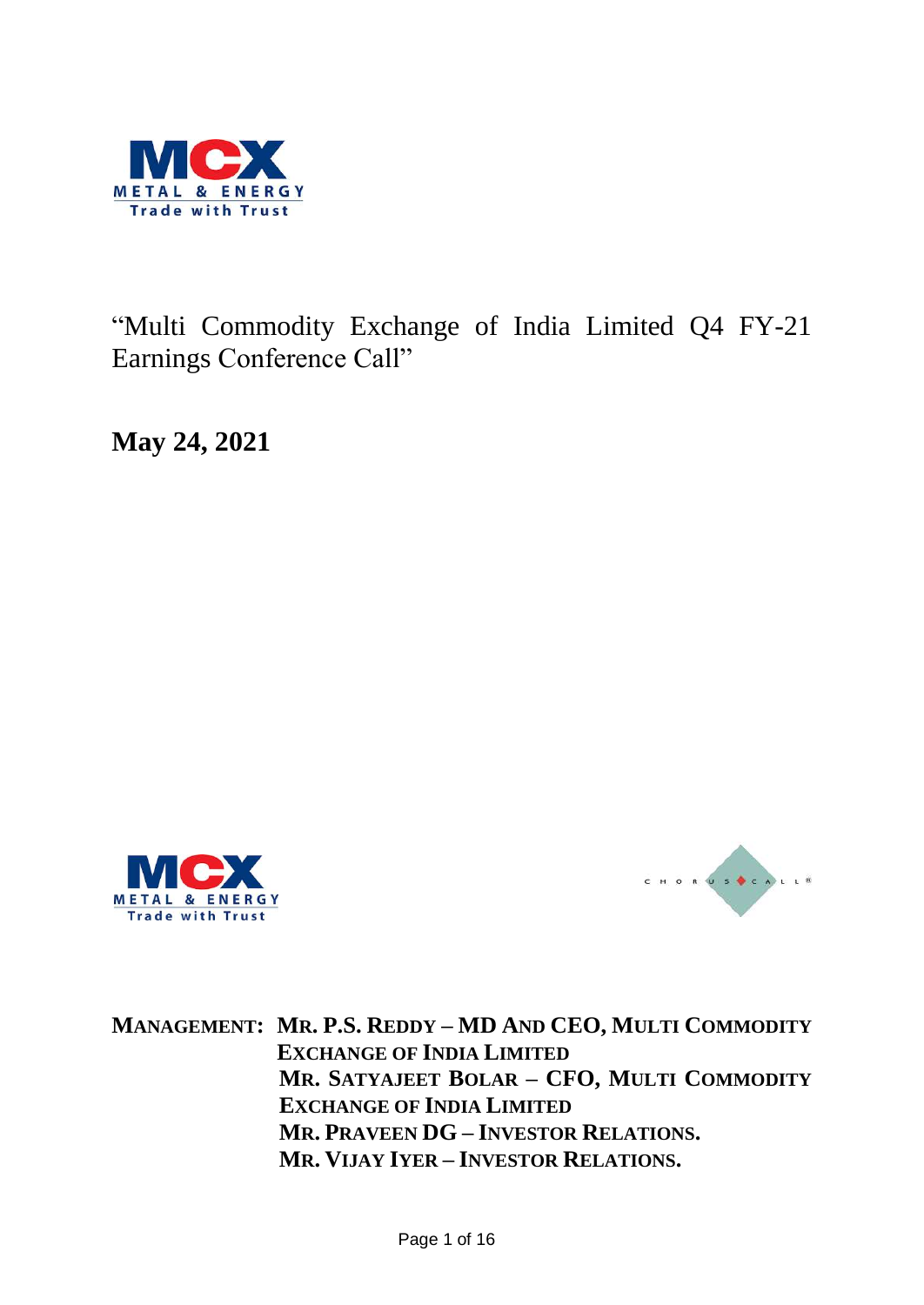

"Multi Commodity Exchange of India Limited Q4 FY-21 Earnings Conference Call"

**May 24, 2021**





**MANAGEMENT: MR. P.S. REDDY – MD AND CEO, MULTI COMMODITY EXCHANGE OF INDIA LIMITED MR. SATYAJEET BOLAR – CFO, MULTI COMMODITY EXCHANGE OF INDIA LIMITED MR. PRAVEEN DG – INVESTOR RELATIONS. MR. VIJAY IYER – INVESTOR RELATIONS.**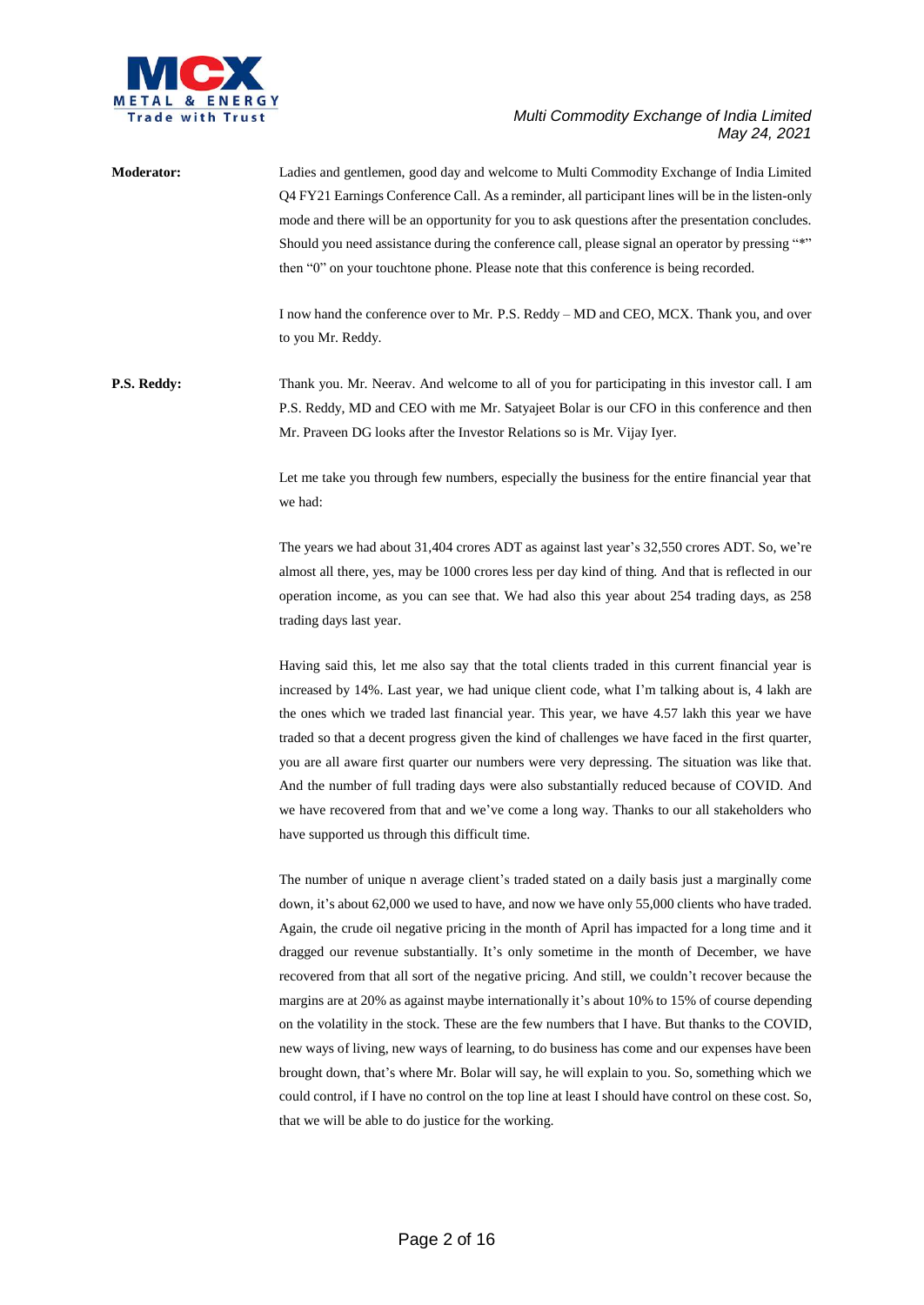

**Moderator:** Ladies and gentlemen, good day and welcome to Multi Commodity Exchange of India Limited Q4 FY21 Earnings Conference Call. As a reminder, all participant lines will be in the listen-only mode and there will be an opportunity for you to ask questions after the presentation concludes. Should you need assistance during the conference call, please signal an operator by pressing "\*" then "0" on your touchtone phone. Please note that this conference is being recorded.

> I now hand the conference over to Mr. P.S. Reddy – MD and CEO, MCX. Thank you, and over to you Mr. Reddy.

**P.S. Reddy:** Thank you. Mr. Neerav. And welcome to all of you for participating in this investor call. I am P.S. Reddy, MD and CEO with me Mr. Satyajeet Bolar is our CFO in this conference and then Mr. Praveen DG looks after the Investor Relations so is Mr. Vijay Iyer.

> Let me take you through few numbers, especially the business for the entire financial year that we had:

> The years we had about 31,404 crores ADT as against last year's 32,550 crores ADT. So, we're almost all there, yes, may be 1000 crores less per day kind of thing. And that is reflected in our operation income, as you can see that. We had also this year about 254 trading days, as 258 trading days last year.

> Having said this, let me also say that the total clients traded in this current financial year is increased by 14%. Last year, we had unique client code, what I'm talking about is, 4 lakh are the ones which we traded last financial year. This year, we have 4.57 lakh this year we have traded so that a decent progress given the kind of challenges we have faced in the first quarter, you are all aware first quarter our numbers were very depressing. The situation was like that. And the number of full trading days were also substantially reduced because of COVID. And we have recovered from that and we've come a long way. Thanks to our all stakeholders who have supported us through this difficult time.

> The number of unique n average client's traded stated on a daily basis just a marginally come down, it's about 62,000 we used to have, and now we have only 55,000 clients who have traded. Again, the crude oil negative pricing in the month of April has impacted for a long time and it dragged our revenue substantially. It's only sometime in the month of December, we have recovered from that all sort of the negative pricing. And still, we couldn't recover because the margins are at 20% as against maybe internationally it's about 10% to 15% of course depending on the volatility in the stock. These are the few numbers that I have. But thanks to the COVID, new ways of living, new ways of learning, to do business has come and our expenses have been brought down, that's where Mr. Bolar will say, he will explain to you. So, something which we could control, if I have no control on the top line at least I should have control on these cost. So, that we will be able to do justice for the working.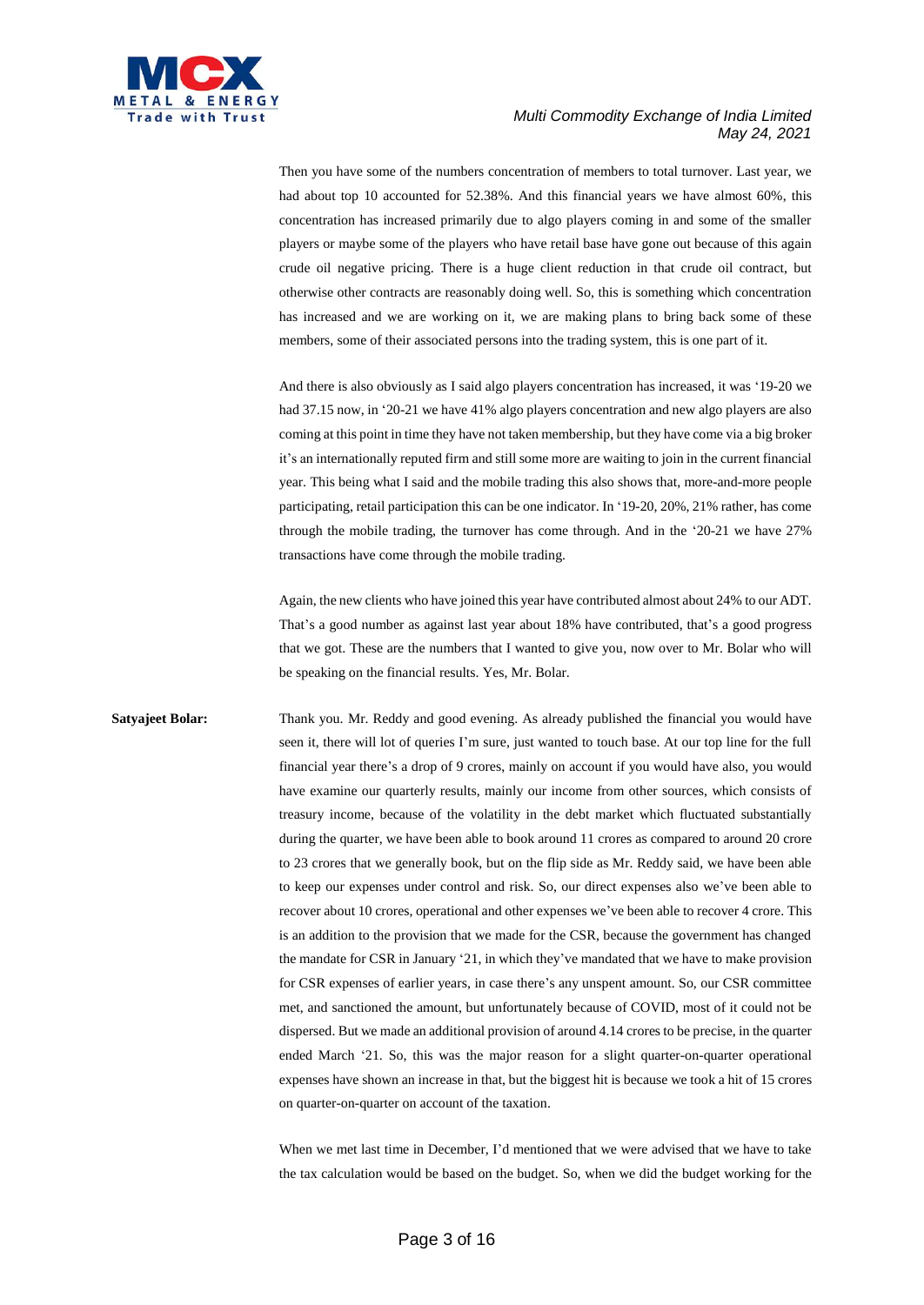

Then you have some of the numbers concentration of members to total turnover. Last year, we had about top 10 accounted for 52.38%. And this financial years we have almost 60%, this concentration has increased primarily due to algo players coming in and some of the smaller players or maybe some of the players who have retail base have gone out because of this again crude oil negative pricing. There is a huge client reduction in that crude oil contract, but otherwise other contracts are reasonably doing well. So, this is something which concentration has increased and we are working on it, we are making plans to bring back some of these members, some of their associated persons into the trading system, this is one part of it.

And there is also obviously as I said algo players concentration has increased, it was '19-20 we had 37.15 now, in '20-21 we have 41% algo players concentration and new algo players are also coming at this point in time they have not taken membership, but they have come via a big broker it's an internationally reputed firm and still some more are waiting to join in the current financial year. This being what I said and the mobile trading this also shows that, more-and-more people participating, retail participation this can be one indicator. In '19-20, 20%, 21% rather, has come through the mobile trading, the turnover has come through. And in the '20-21 we have 27% transactions have come through the mobile trading.

Again, the new clients who have joined this year have contributed almost about 24% to our ADT. That's a good number as against last year about 18% have contributed, that's a good progress that we got. These are the numbers that I wanted to give you, now over to Mr. Bolar who will be speaking on the financial results. Yes, Mr. Bolar.

**Satyajeet Bolar:** Thank you. Mr. Reddy and good evening. As already published the financial you would have seen it, there will lot of queries I'm sure, just wanted to touch base. At our top line for the full financial year there's a drop of 9 crores, mainly on account if you would have also, you would have examine our quarterly results, mainly our income from other sources, which consists of treasury income, because of the volatility in the debt market which fluctuated substantially during the quarter, we have been able to book around 11 crores as compared to around 20 crore to 23 crores that we generally book, but on the flip side as Mr. Reddy said, we have been able to keep our expenses under control and risk. So, our direct expenses also we've been able to recover about 10 crores, operational and other expenses we've been able to recover 4 crore. This is an addition to the provision that we made for the CSR, because the government has changed the mandate for CSR in January '21, in which they've mandated that we have to make provision for CSR expenses of earlier years, in case there's any unspent amount. So, our CSR committee met, and sanctioned the amount, but unfortunately because of COVID, most of it could not be dispersed. But we made an additional provision of around 4.14 crores to be precise, in the quarter ended March '21. So, this was the major reason for a slight quarter-on-quarter operational expenses have shown an increase in that, but the biggest hit is because we took a hit of 15 crores on quarter-on-quarter on account of the taxation.

> When we met last time in December, I'd mentioned that we were advised that we have to take the tax calculation would be based on the budget. So, when we did the budget working for the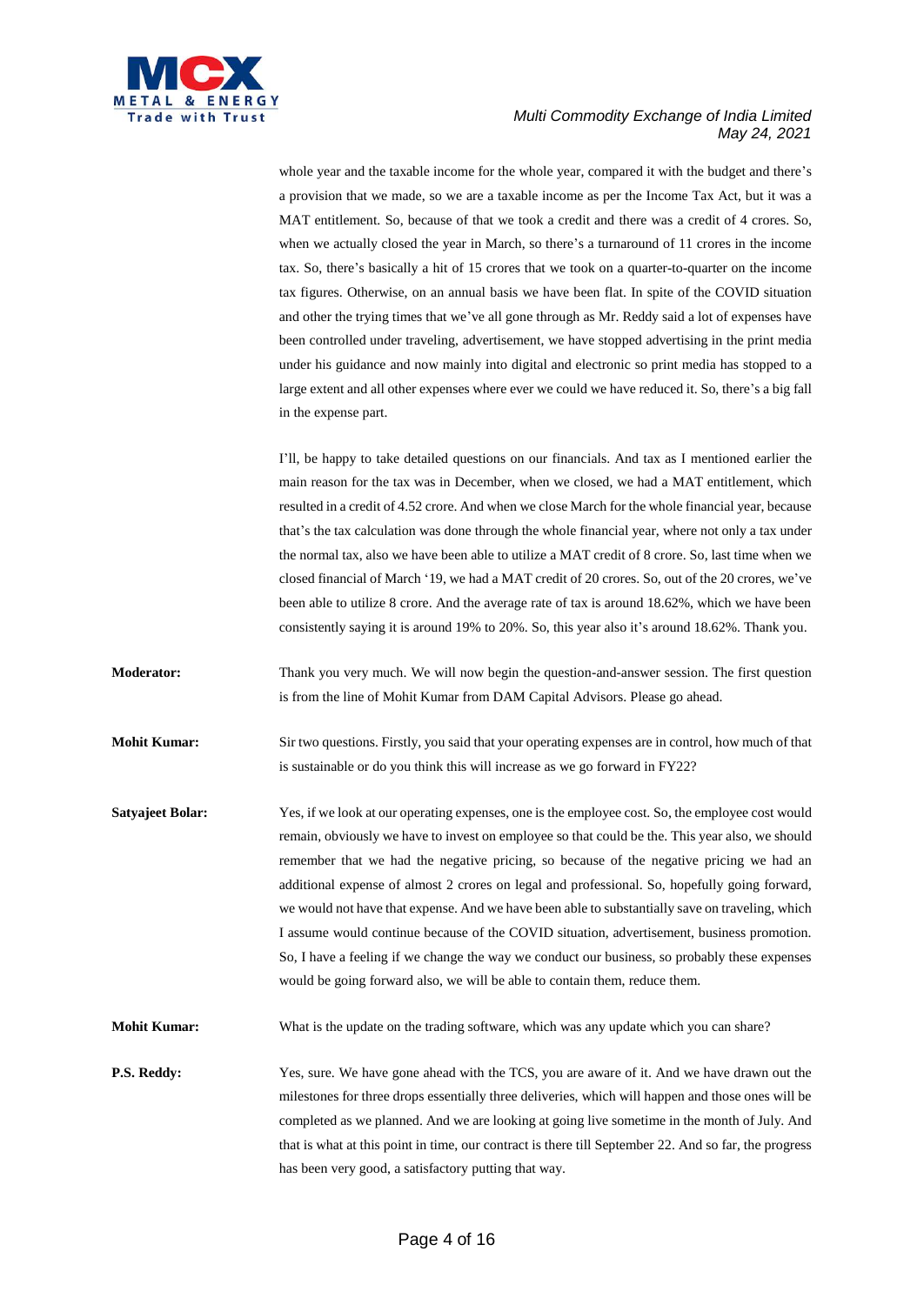

whole year and the taxable income for the whole year, compared it with the budget and there's a provision that we made, so we are a taxable income as per the Income Tax Act, but it was a MAT entitlement. So, because of that we took a credit and there was a credit of 4 crores. So, when we actually closed the year in March, so there's a turnaround of 11 crores in the income tax. So, there's basically a hit of 15 crores that we took on a quarter-to-quarter on the income tax figures. Otherwise, on an annual basis we have been flat. In spite of the COVID situation and other the trying times that we've all gone through as Mr. Reddy said a lot of expenses have been controlled under traveling, advertisement, we have stopped advertising in the print media under his guidance and now mainly into digital and electronic so print media has stopped to a large extent and all other expenses where ever we could we have reduced it. So, there's a big fall in the expense part.

I'll, be happy to take detailed questions on our financials. And tax as I mentioned earlier the main reason for the tax was in December, when we closed, we had a MAT entitlement, which resulted in a credit of 4.52 crore. And when we close March for the whole financial year, because that's the tax calculation was done through the whole financial year, where not only a tax under the normal tax, also we have been able to utilize a MAT credit of 8 crore. So, last time when we closed financial of March '19, we had a MAT credit of 20 crores. So, out of the 20 crores, we've been able to utilize 8 crore. And the average rate of tax is around 18.62%, which we have been consistently saying it is around 19% to 20%. So, this year also it's around 18.62%. Thank you.

**Moderator:** Thank you very much. We will now begin the question-and-answer session. The first question is from the line of Mohit Kumar from DAM Capital Advisors. Please go ahead.

**Mohit Kumar:** Sir two questions. Firstly, you said that your operating expenses are in control, how much of that is sustainable or do you think this will increase as we go forward in FY22?

**Satyajeet Bolar:** Yes, if we look at our operating expenses, one is the employee cost. So, the employee cost would remain, obviously we have to invest on employee so that could be the. This year also, we should remember that we had the negative pricing, so because of the negative pricing we had an additional expense of almost 2 crores on legal and professional. So, hopefully going forward, we would not have that expense. And we have been able to substantially save on traveling, which I assume would continue because of the COVID situation, advertisement, business promotion. So, I have a feeling if we change the way we conduct our business, so probably these expenses would be going forward also, we will be able to contain them, reduce them.

**Mohit Kumar:** What is the update on the trading software, which was any update which you can share?

**P.S. Reddy:** Yes, sure. We have gone ahead with the TCS, you are aware of it. And we have drawn out the milestones for three drops essentially three deliveries, which will happen and those ones will be completed as we planned. And we are looking at going live sometime in the month of July. And that is what at this point in time, our contract is there till September 22. And so far, the progress has been very good, a satisfactory putting that way.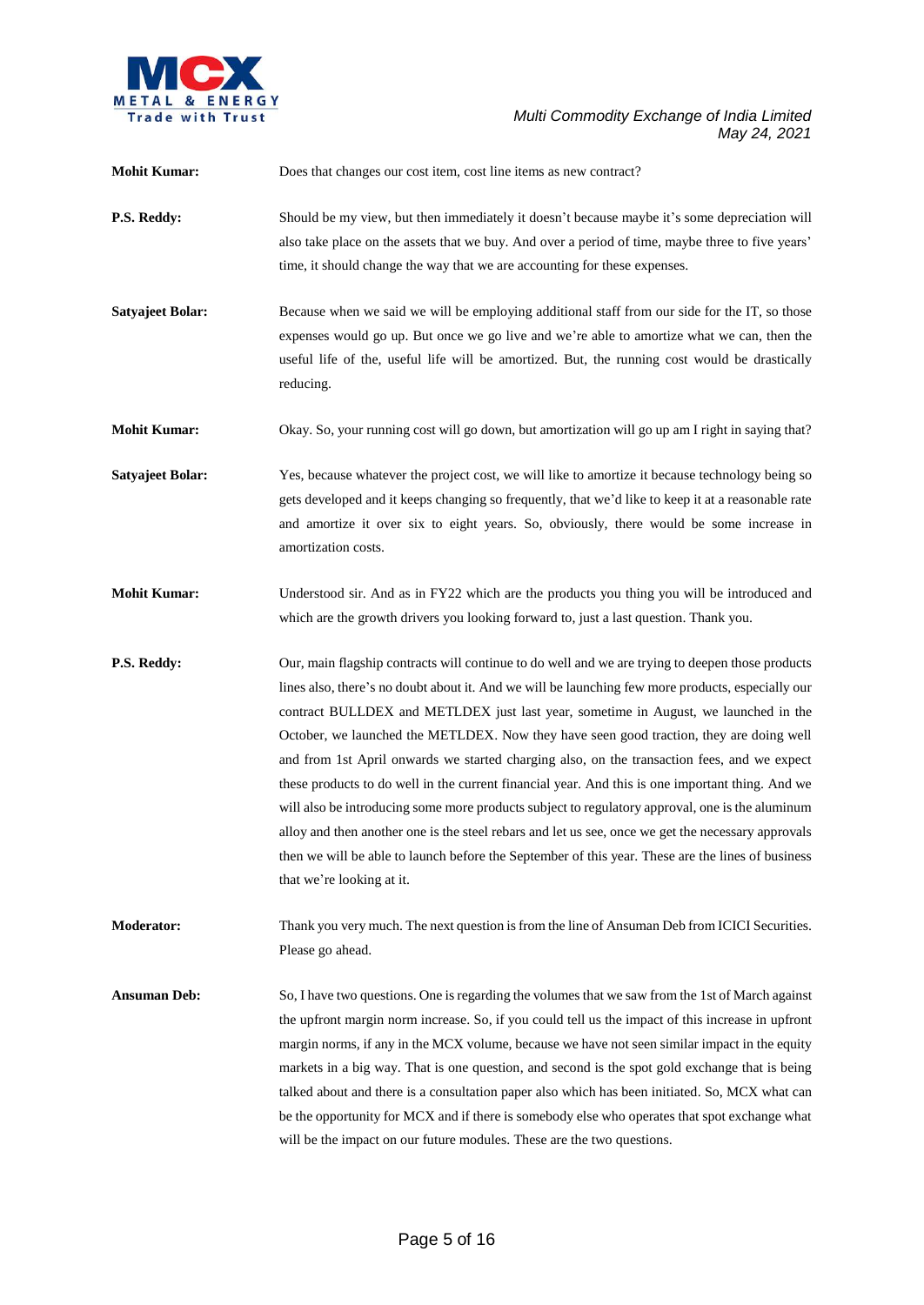

| <b>Mohit Kumar:</b>     | Does that changes our cost item, cost line items as new contract?                                                                                                                                                                                                                                                                                                                                                                                                                                                                                                                                                                                                                                                                                                                                                                                                                                                                     |
|-------------------------|---------------------------------------------------------------------------------------------------------------------------------------------------------------------------------------------------------------------------------------------------------------------------------------------------------------------------------------------------------------------------------------------------------------------------------------------------------------------------------------------------------------------------------------------------------------------------------------------------------------------------------------------------------------------------------------------------------------------------------------------------------------------------------------------------------------------------------------------------------------------------------------------------------------------------------------|
| P.S. Reddy:             | Should be my view, but then immediately it doesn't because maybe it's some depreciation will<br>also take place on the assets that we buy. And over a period of time, maybe three to five years'<br>time, it should change the way that we are accounting for these expenses.                                                                                                                                                                                                                                                                                                                                                                                                                                                                                                                                                                                                                                                         |
| <b>Satyajeet Bolar:</b> | Because when we said we will be employing additional staff from our side for the IT, so those<br>expenses would go up. But once we go live and we're able to amortize what we can, then the<br>useful life of the, useful life will be amortized. But, the running cost would be drastically<br>reducing.                                                                                                                                                                                                                                                                                                                                                                                                                                                                                                                                                                                                                             |
| <b>Mohit Kumar:</b>     | Okay. So, your running cost will go down, but amortization will go up am I right in saying that?                                                                                                                                                                                                                                                                                                                                                                                                                                                                                                                                                                                                                                                                                                                                                                                                                                      |
| <b>Satyajeet Bolar:</b> | Yes, because whatever the project cost, we will like to amortize it because technology being so<br>gets developed and it keeps changing so frequently, that we'd like to keep it at a reasonable rate<br>and amortize it over six to eight years. So, obviously, there would be some increase in<br>amortization costs.                                                                                                                                                                                                                                                                                                                                                                                                                                                                                                                                                                                                               |
| <b>Mohit Kumar:</b>     | Understood sir. And as in FY22 which are the products you thing you will be introduced and<br>which are the growth drivers you looking forward to, just a last question. Thank you.                                                                                                                                                                                                                                                                                                                                                                                                                                                                                                                                                                                                                                                                                                                                                   |
| P.S. Reddy:             | Our, main flagship contracts will continue to do well and we are trying to deepen those products<br>lines also, there's no doubt about it. And we will be launching few more products, especially our<br>contract BULLDEX and METLDEX just last year, sometime in August, we launched in the<br>October, we launched the METLDEX. Now they have seen good traction, they are doing well<br>and from 1st April onwards we started charging also, on the transaction fees, and we expect<br>these products to do well in the current financial year. And this is one important thing. And we<br>will also be introducing some more products subject to regulatory approval, one is the aluminum<br>alloy and then another one is the steel rebars and let us see, once we get the necessary approvals<br>then we will be able to launch before the September of this year. These are the lines of business<br>that we're looking at it. |
| <b>Moderator:</b>       | Thank you very much. The next question is from the line of Ansuman Deb from ICICI Securities.<br>Please go ahead.                                                                                                                                                                                                                                                                                                                                                                                                                                                                                                                                                                                                                                                                                                                                                                                                                     |
| <b>Ansuman Deb:</b>     | So, I have two questions. One is regarding the volumes that we saw from the 1st of March against<br>the upfront margin norm increase. So, if you could tell us the impact of this increase in upfront<br>margin norms, if any in the MCX volume, because we have not seen similar impact in the equity<br>markets in a big way. That is one question, and second is the spot gold exchange that is being<br>talked about and there is a consultation paper also which has been initiated. So, MCX what can<br>be the opportunity for MCX and if there is somebody else who operates that spot exchange what<br>will be the impact on our future modules. These are the two questions.                                                                                                                                                                                                                                                 |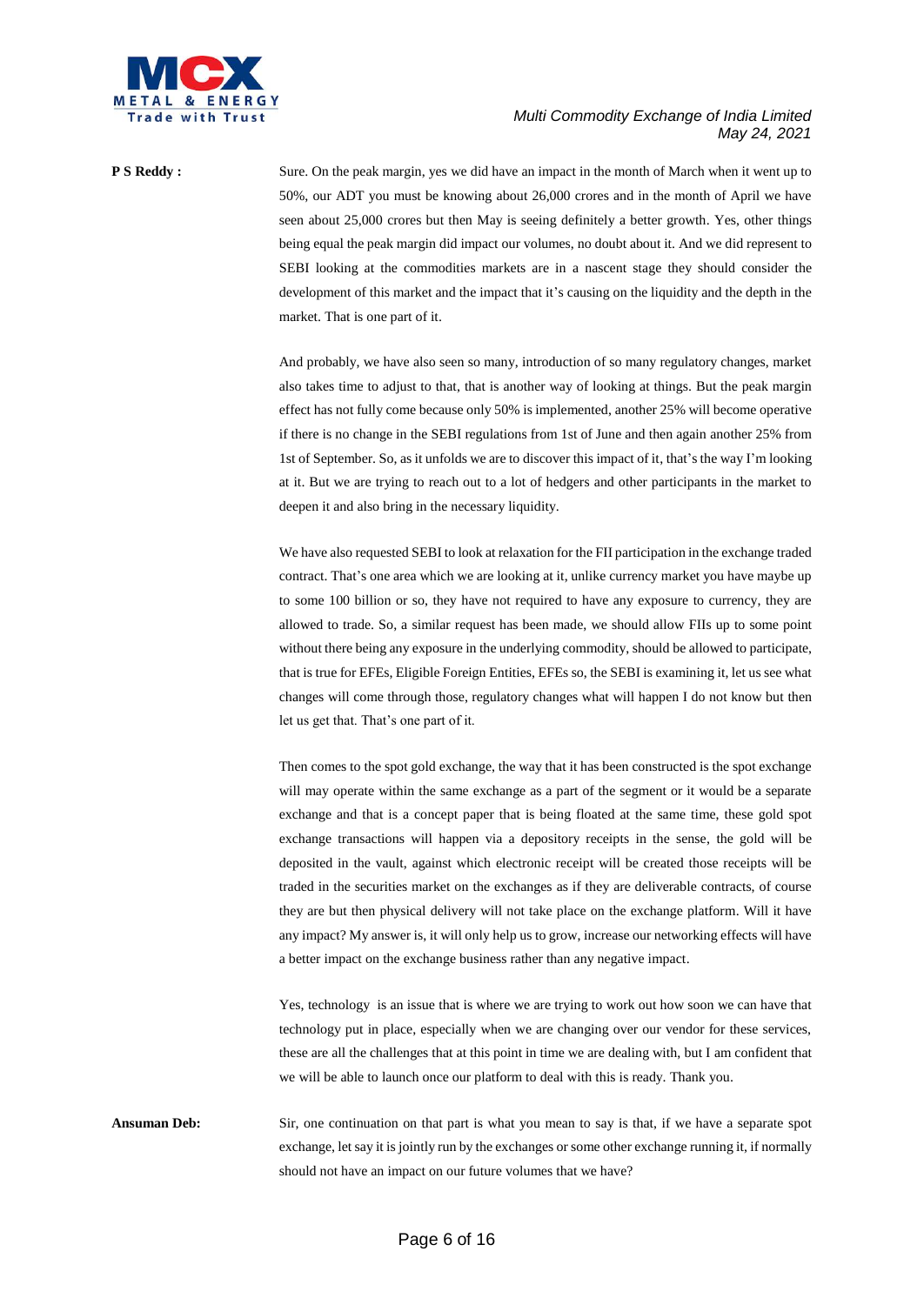

**P S Reddy :** Sure. On the peak margin, yes we did have an impact in the month of March when it went up to 50%, our ADT you must be knowing about 26,000 crores and in the month of April we have seen about 25,000 crores but then May is seeing definitely a better growth. Yes, other things being equal the peak margin did impact our volumes, no doubt about it. And we did represent to SEBI looking at the commodities markets are in a nascent stage they should consider the development of this market and the impact that it's causing on the liquidity and the depth in the market. That is one part of it.

> And probably, we have also seen so many, introduction of so many regulatory changes, market also takes time to adjust to that, that is another way of looking at things. But the peak margin effect has not fully come because only 50% is implemented, another 25% will become operative if there is no change in the SEBI regulations from 1st of June and then again another 25% from 1st of September. So, as it unfolds we are to discover this impact of it, that's the way I'm looking at it. But we are trying to reach out to a lot of hedgers and other participants in the market to deepen it and also bring in the necessary liquidity.

> We have also requested SEBI to look at relaxation for the FII participation in the exchange traded contract. That's one area which we are looking at it, unlike currency market you have maybe up to some 100 billion or so, they have not required to have any exposure to currency, they are allowed to trade. So, a similar request has been made, we should allow FIIs up to some point without there being any exposure in the underlying commodity, should be allowed to participate, that is true for EFEs, Eligible Foreign Entities, EFEs so, the SEBI is examining it, let us see what changes will come through those, regulatory changes what will happen I do not know but then let us get that. That's one part of it.

> Then comes to the spot gold exchange, the way that it has been constructed is the spot exchange will may operate within the same exchange as a part of the segment or it would be a separate exchange and that is a concept paper that is being floated at the same time, these gold spot exchange transactions will happen via a depository receipts in the sense, the gold will be deposited in the vault, against which electronic receipt will be created those receipts will be traded in the securities market on the exchanges as if they are deliverable contracts, of course they are but then physical delivery will not take place on the exchange platform. Will it have any impact? My answer is, it will only help us to grow, increase our networking effects will have a better impact on the exchange business rather than any negative impact.

> Yes, technology is an issue that is where we are trying to work out how soon we can have that technology put in place, especially when we are changing over our vendor for these services, these are all the challenges that at this point in time we are dealing with, but I am confident that we will be able to launch once our platform to deal with this is ready. Thank you.

**Ansuman Deb:** Sir, one continuation on that part is what you mean to say is that, if we have a separate spot exchange, let say it is jointly run by the exchanges or some other exchange running it, if normally should not have an impact on our future volumes that we have?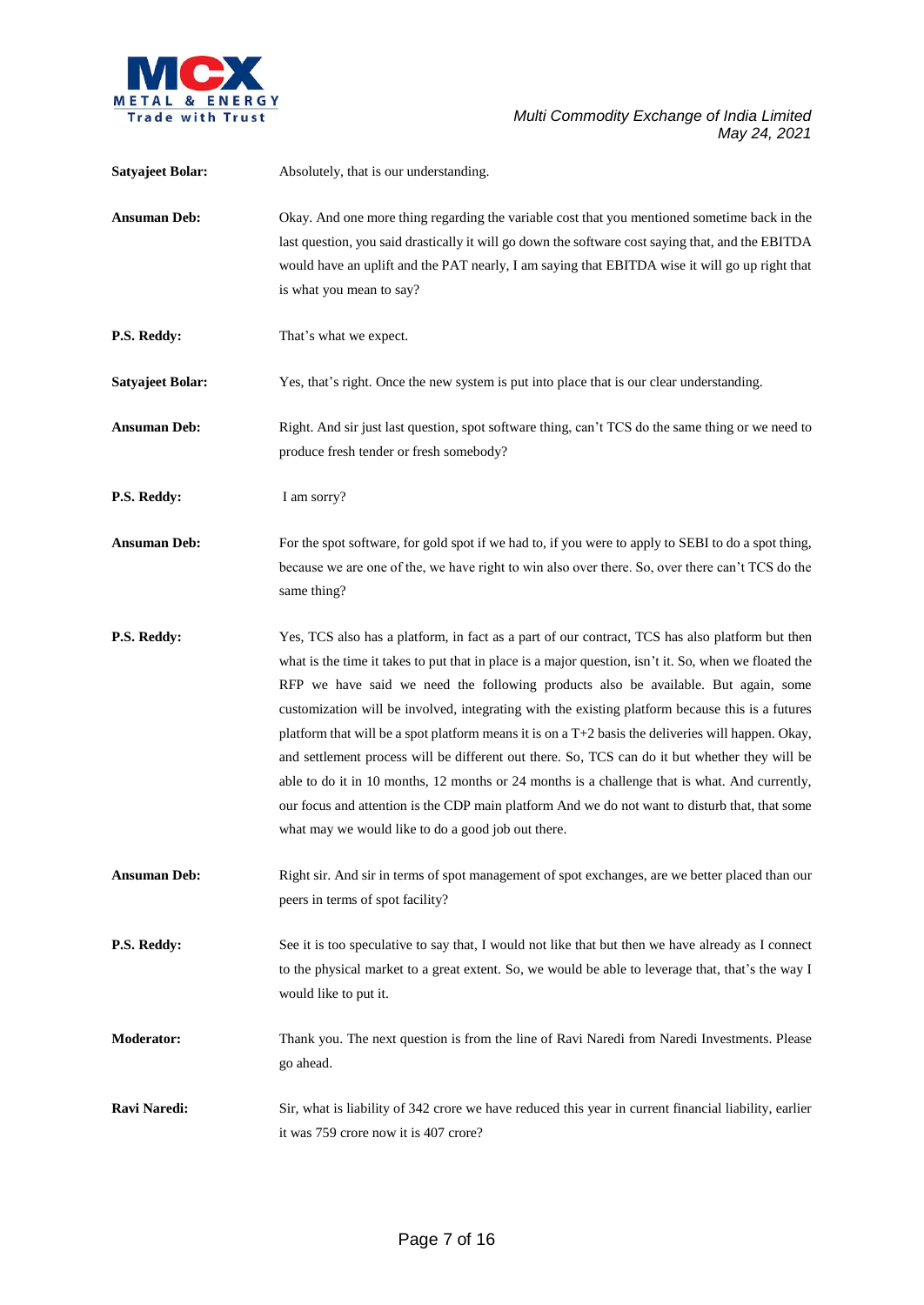

| <b>Satyajeet Bolar:</b> | Absolutely, that is our understanding.                                                                                                                                                                                                                                                                                                                                                                                                                                                                                                                                                                                                                                                                                                                                                                                                                                 |
|-------------------------|------------------------------------------------------------------------------------------------------------------------------------------------------------------------------------------------------------------------------------------------------------------------------------------------------------------------------------------------------------------------------------------------------------------------------------------------------------------------------------------------------------------------------------------------------------------------------------------------------------------------------------------------------------------------------------------------------------------------------------------------------------------------------------------------------------------------------------------------------------------------|
| <b>Ansuman Deb:</b>     | Okay. And one more thing regarding the variable cost that you mentioned sometime back in the<br>last question, you said drastically it will go down the software cost saying that, and the EBITDA<br>would have an uplift and the PAT nearly, I am saying that EBITDA wise it will go up right that<br>is what you mean to say?                                                                                                                                                                                                                                                                                                                                                                                                                                                                                                                                        |
| P.S. Reddy:             | That's what we expect.                                                                                                                                                                                                                                                                                                                                                                                                                                                                                                                                                                                                                                                                                                                                                                                                                                                 |
| <b>Satyajeet Bolar:</b> | Yes, that's right. Once the new system is put into place that is our clear understanding.                                                                                                                                                                                                                                                                                                                                                                                                                                                                                                                                                                                                                                                                                                                                                                              |
| <b>Ansuman Deb:</b>     | Right. And sir just last question, spot software thing, can't TCS do the same thing or we need to<br>produce fresh tender or fresh somebody?                                                                                                                                                                                                                                                                                                                                                                                                                                                                                                                                                                                                                                                                                                                           |
| P.S. Reddy:             | I am sorry?                                                                                                                                                                                                                                                                                                                                                                                                                                                                                                                                                                                                                                                                                                                                                                                                                                                            |
| <b>Ansuman Deb:</b>     | For the spot software, for gold spot if we had to, if you were to apply to SEBI to do a spot thing,<br>because we are one of the, we have right to win also over there. So, over there can't TCS do the<br>same thing?                                                                                                                                                                                                                                                                                                                                                                                                                                                                                                                                                                                                                                                 |
| P.S. Reddy:             | Yes, TCS also has a platform, in fact as a part of our contract, TCS has also platform but then<br>what is the time it takes to put that in place is a major question, isn't it. So, when we floated the<br>RFP we have said we need the following products also be available. But again, some<br>customization will be involved, integrating with the existing platform because this is a futures<br>platform that will be a spot platform means it is on a $T+2$ basis the deliveries will happen. Okay,<br>and settlement process will be different out there. So, TCS can do it but whether they will be<br>able to do it in 10 months, 12 months or 24 months is a challenge that is what. And currently,<br>our focus and attention is the CDP main platform And we do not want to disturb that, that some<br>what may we would like to do a good job out there. |
| <b>Ansuman Deb:</b>     | Right sir. And sir in terms of spot management of spot exchanges, are we better placed than our<br>peers in terms of spot facility?                                                                                                                                                                                                                                                                                                                                                                                                                                                                                                                                                                                                                                                                                                                                    |
| P.S. Reddy:             | See it is too speculative to say that, I would not like that but then we have already as I connect<br>to the physical market to a great extent. So, we would be able to leverage that, that's the way I<br>would like to put it.                                                                                                                                                                                                                                                                                                                                                                                                                                                                                                                                                                                                                                       |
| <b>Moderator:</b>       | Thank you. The next question is from the line of Ravi Naredi from Naredi Investments. Please<br>go ahead.                                                                                                                                                                                                                                                                                                                                                                                                                                                                                                                                                                                                                                                                                                                                                              |
| Ravi Naredi:            | Sir, what is liability of 342 crore we have reduced this year in current financial liability, earlier<br>it was 759 crore now it is 407 crore?                                                                                                                                                                                                                                                                                                                                                                                                                                                                                                                                                                                                                                                                                                                         |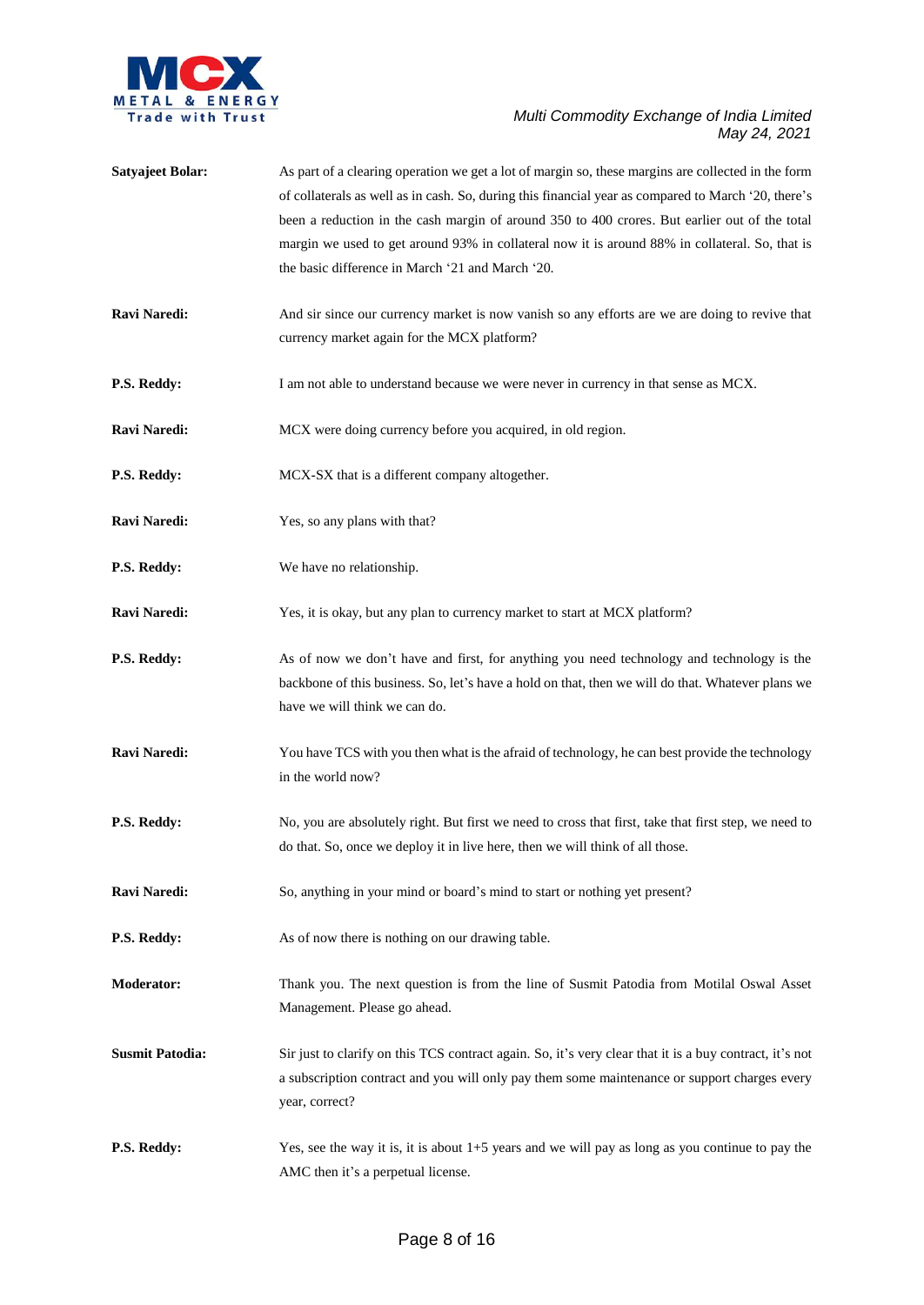

**Satyajeet Bolar:** As part of a clearing operation we get a lot of margin so, these margins are collected in the form of collaterals as well as in cash. So, during this financial year as compared to March '20, there's been a reduction in the cash margin of around 350 to 400 crores. But earlier out of the total margin we used to get around 93% in collateral now it is around 88% in collateral. So, that is the basic difference in March '21 and March '20. **Ravi Naredi:** And sir since our currency market is now vanish so any efforts are we are doing to revive that currency market again for the MCX platform? **P.S. Reddy:** I am not able to understand because we were never in currency in that sense as MCX. **Ravi Naredi:** MCX were doing currency before you acquired, in old region. **P.S. Reddy:** MCX-SX that is a different company altogether. **Ravi Naredi:** Yes, so any plans with that? **P.S. Reddy:** We have no relationship. **Ravi Naredi:** Yes, it is okay, but any plan to currency market to start at MCX platform? **P.S. Reddy:** As of now we don't have and first, for anything you need technology and technology is the backbone of this business. So, let's have a hold on that, then we will do that. Whatever plans we have we will think we can do. **Ravi Naredi:** You have TCS with you then what is the afraid of technology, he can best provide the technology in the world now? **P.S. Reddy:** No, you are absolutely right. But first we need to cross that first, take that first step, we need to do that. So, once we deploy it in live here, then we will think of all those. **Ravi Naredi:** So, anything in your mind or board's mind to start or nothing yet present? **P.S. Reddy:** As of now there is nothing on our drawing table. **Moderator:** Thank you. The next question is from the line of Susmit Patodia from Motilal Oswal Asset Management. Please go ahead. **Susmit Patodia:** Sir just to clarify on this TCS contract again. So, it's very clear that it is a buy contract, it's not a subscription contract and you will only pay them some maintenance or support charges every year, correct? **P.S. Reddy:** Yes, see the way it is, it is about 1+5 years and we will pay as long as you continue to pay the AMC then it's a perpetual license.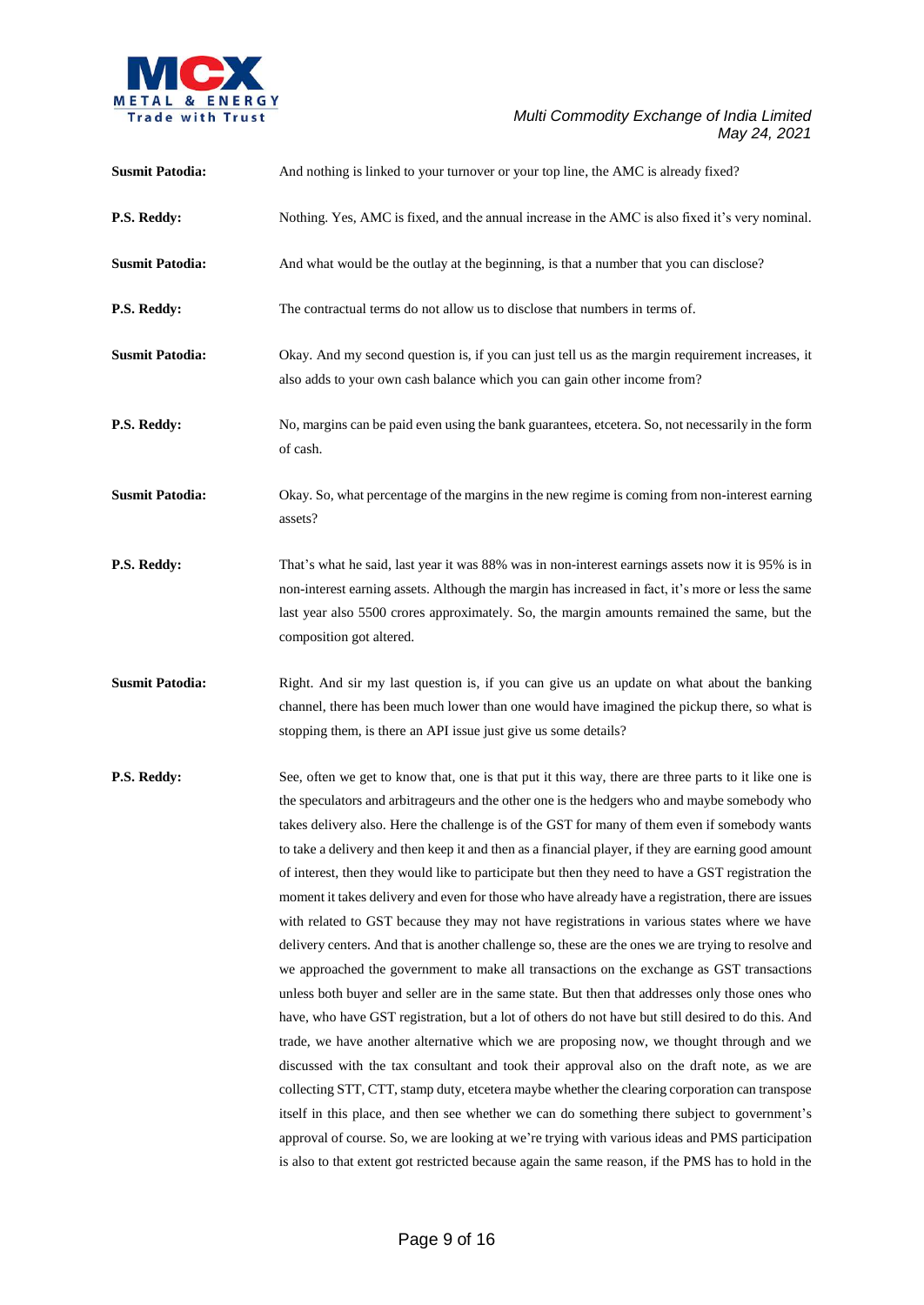

| <b>Susmit Patodia:</b> | And nothing is linked to your turnover or your top line, the AMC is already fixed?                                                                                                                                                                                                                                                                                                                                                                                                                                                                                                                                                                                                                                                                                                                                                                                                                                                                                                                                                                                                                                                                                                                                                                                                                                                                                                                                                                                                                                                                                                                                                                                                                                                         |
|------------------------|--------------------------------------------------------------------------------------------------------------------------------------------------------------------------------------------------------------------------------------------------------------------------------------------------------------------------------------------------------------------------------------------------------------------------------------------------------------------------------------------------------------------------------------------------------------------------------------------------------------------------------------------------------------------------------------------------------------------------------------------------------------------------------------------------------------------------------------------------------------------------------------------------------------------------------------------------------------------------------------------------------------------------------------------------------------------------------------------------------------------------------------------------------------------------------------------------------------------------------------------------------------------------------------------------------------------------------------------------------------------------------------------------------------------------------------------------------------------------------------------------------------------------------------------------------------------------------------------------------------------------------------------------------------------------------------------------------------------------------------------|
| P.S. Reddy:            | Nothing. Yes, AMC is fixed, and the annual increase in the AMC is also fixed it's very nominal.                                                                                                                                                                                                                                                                                                                                                                                                                                                                                                                                                                                                                                                                                                                                                                                                                                                                                                                                                                                                                                                                                                                                                                                                                                                                                                                                                                                                                                                                                                                                                                                                                                            |
| <b>Susmit Patodia:</b> | And what would be the outlay at the beginning, is that a number that you can disclose?                                                                                                                                                                                                                                                                                                                                                                                                                                                                                                                                                                                                                                                                                                                                                                                                                                                                                                                                                                                                                                                                                                                                                                                                                                                                                                                                                                                                                                                                                                                                                                                                                                                     |
| P.S. Reddy:            | The contractual terms do not allow us to disclose that numbers in terms of.                                                                                                                                                                                                                                                                                                                                                                                                                                                                                                                                                                                                                                                                                                                                                                                                                                                                                                                                                                                                                                                                                                                                                                                                                                                                                                                                                                                                                                                                                                                                                                                                                                                                |
| <b>Susmit Patodia:</b> | Okay. And my second question is, if you can just tell us as the margin requirement increases, it<br>also adds to your own cash balance which you can gain other income from?                                                                                                                                                                                                                                                                                                                                                                                                                                                                                                                                                                                                                                                                                                                                                                                                                                                                                                                                                                                                                                                                                                                                                                                                                                                                                                                                                                                                                                                                                                                                                               |
| P.S. Reddy:            | No, margins can be paid even using the bank guarantees, etcetera. So, not necessarily in the form<br>of cash.                                                                                                                                                                                                                                                                                                                                                                                                                                                                                                                                                                                                                                                                                                                                                                                                                                                                                                                                                                                                                                                                                                                                                                                                                                                                                                                                                                                                                                                                                                                                                                                                                              |
| <b>Susmit Patodia:</b> | Okay. So, what percentage of the margins in the new regime is coming from non-interest earning<br>assets?                                                                                                                                                                                                                                                                                                                                                                                                                                                                                                                                                                                                                                                                                                                                                                                                                                                                                                                                                                                                                                                                                                                                                                                                                                                                                                                                                                                                                                                                                                                                                                                                                                  |
| P.S. Reddy:            | That's what he said, last year it was 88% was in non-interest earnings assets now it is 95% is in<br>non-interest earning assets. Although the margin has increased in fact, it's more or less the same<br>last year also 5500 crores approximately. So, the margin amounts remained the same, but the<br>composition got altered.                                                                                                                                                                                                                                                                                                                                                                                                                                                                                                                                                                                                                                                                                                                                                                                                                                                                                                                                                                                                                                                                                                                                                                                                                                                                                                                                                                                                         |
| <b>Susmit Patodia:</b> | Right. And sir my last question is, if you can give us an update on what about the banking<br>channel, there has been much lower than one would have imagined the pickup there, so what is<br>stopping them, is there an API issue just give us some details?                                                                                                                                                                                                                                                                                                                                                                                                                                                                                                                                                                                                                                                                                                                                                                                                                                                                                                                                                                                                                                                                                                                                                                                                                                                                                                                                                                                                                                                                              |
| P.S. Reddy:            | See, often we get to know that, one is that put it this way, there are three parts to it like one is<br>the speculators and arbitrageurs and the other one is the hedgers who and maybe somebody who<br>takes delivery also. Here the challenge is of the GST for many of them even if somebody wants<br>to take a delivery and then keep it and then as a financial player, if they are earning good amount<br>of interest, then they would like to participate but then they need to have a GST registration the<br>moment it takes delivery and even for those who have already have a registration, there are issues<br>with related to GST because they may not have registrations in various states where we have<br>delivery centers. And that is another challenge so, these are the ones we are trying to resolve and<br>we approached the government to make all transactions on the exchange as GST transactions<br>unless both buyer and seller are in the same state. But then that addresses only those ones who<br>have, who have GST registration, but a lot of others do not have but still desired to do this. And<br>trade, we have another alternative which we are proposing now, we thought through and we<br>discussed with the tax consultant and took their approval also on the draft note, as we are<br>collecting STT, CTT, stamp duty, etcetera maybe whether the clearing corporation can transpose<br>itself in this place, and then see whether we can do something there subject to government's<br>approval of course. So, we are looking at we're trying with various ideas and PMS participation<br>is also to that extent got restricted because again the same reason, if the PMS has to hold in the |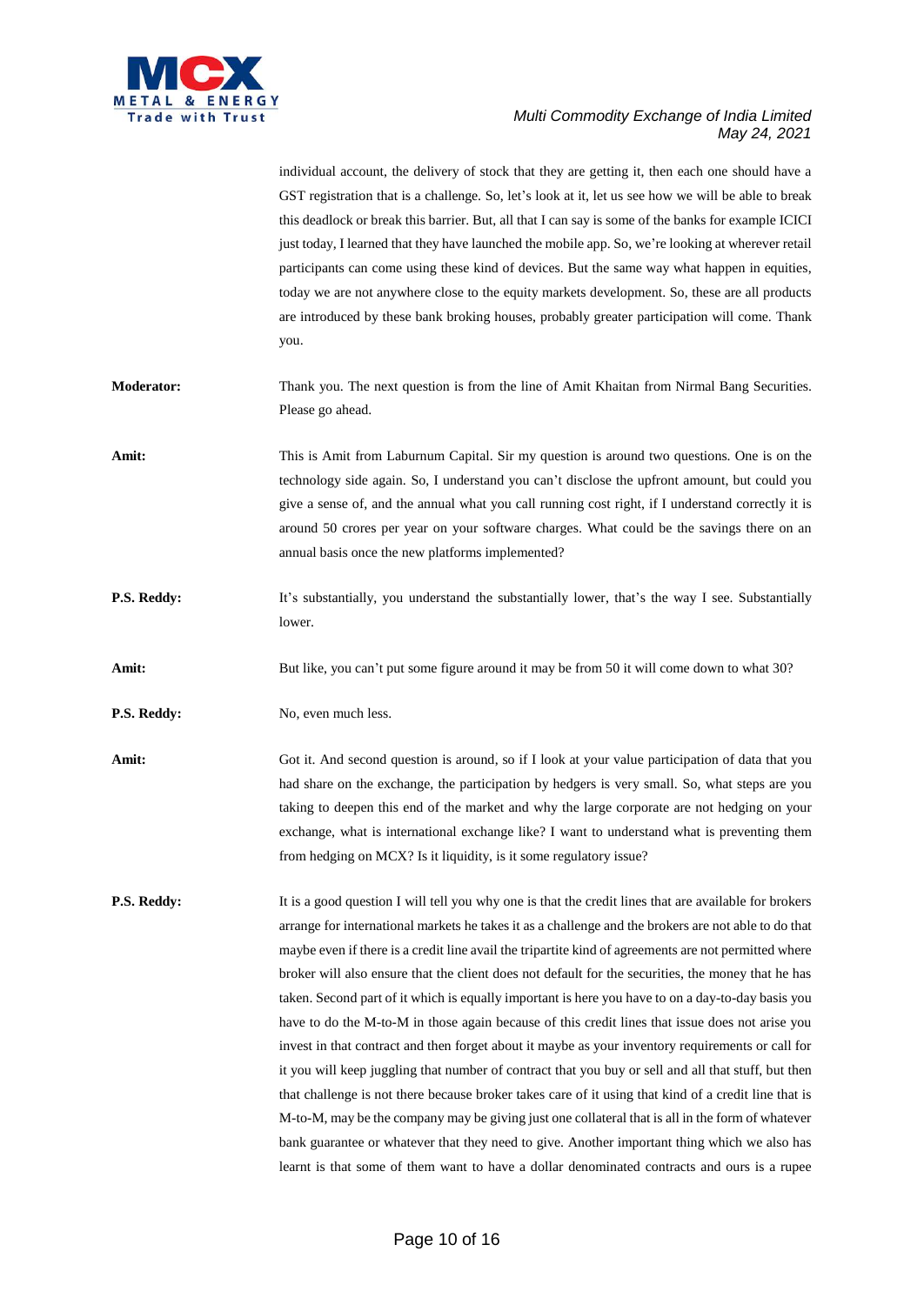

individual account, the delivery of stock that they are getting it, then each one should have a GST registration that is a challenge. So, let's look at it, let us see how we will be able to break this deadlock or break this barrier. But, all that I can say is some of the banks for example ICICI just today, I learned that they have launched the mobile app. So, we're looking at wherever retail participants can come using these kind of devices. But the same way what happen in equities, today we are not anywhere close to the equity markets development. So, these are all products are introduced by these bank broking houses, probably greater participation will come. Thank you. **Moderator:** Thank you. The next question is from the line of Amit Khaitan from Nirmal Bang Securities. Please go ahead. **Amit:** This is Amit from Laburnum Capital. Sir my question is around two questions. One is on the technology side again. So, I understand you can't disclose the upfront amount, but could you give a sense of, and the annual what you call running cost right, if I understand correctly it is around 50 crores per year on your software charges. What could be the savings there on an annual basis once the new platforms implemented? **P.S. Reddy:** It's substantially, you understand the substantially lower, that's the way I see. Substantially lower. Amit: But like, you can't put some figure around it may be from 50 it will come down to what 30? **P.S. Reddy:** No, even much less. **Amit:** Got it. And second question is around, so if I look at your value participation of data that you had share on the exchange, the participation by hedgers is very small. So, what steps are you taking to deepen this end of the market and why the large corporate are not hedging on your exchange, what is international exchange like? I want to understand what is preventing them from hedging on MCX? Is it liquidity, is it some regulatory issue? **P.S. Reddy:** It is a good question I will tell you why one is that the credit lines that are available for brokers arrange for international markets he takes it as a challenge and the brokers are not able to do that maybe even if there is a credit line avail the tripartite kind of agreements are not permitted where broker will also ensure that the client does not default for the securities, the money that he has taken. Second part of it which is equally important is here you have to on a day-to-day basis you have to do the M-to-M in those again because of this credit lines that issue does not arise you invest in that contract and then forget about it maybe as your inventory requirements or call for it you will keep juggling that number of contract that you buy or sell and all that stuff, but then that challenge is not there because broker takes care of it using that kind of a credit line that is M-to-M, may be the company may be giving just one collateral that is all in the form of whatever bank guarantee or whatever that they need to give. Another important thing which we also has learnt is that some of them want to have a dollar denominated contracts and ours is a rupee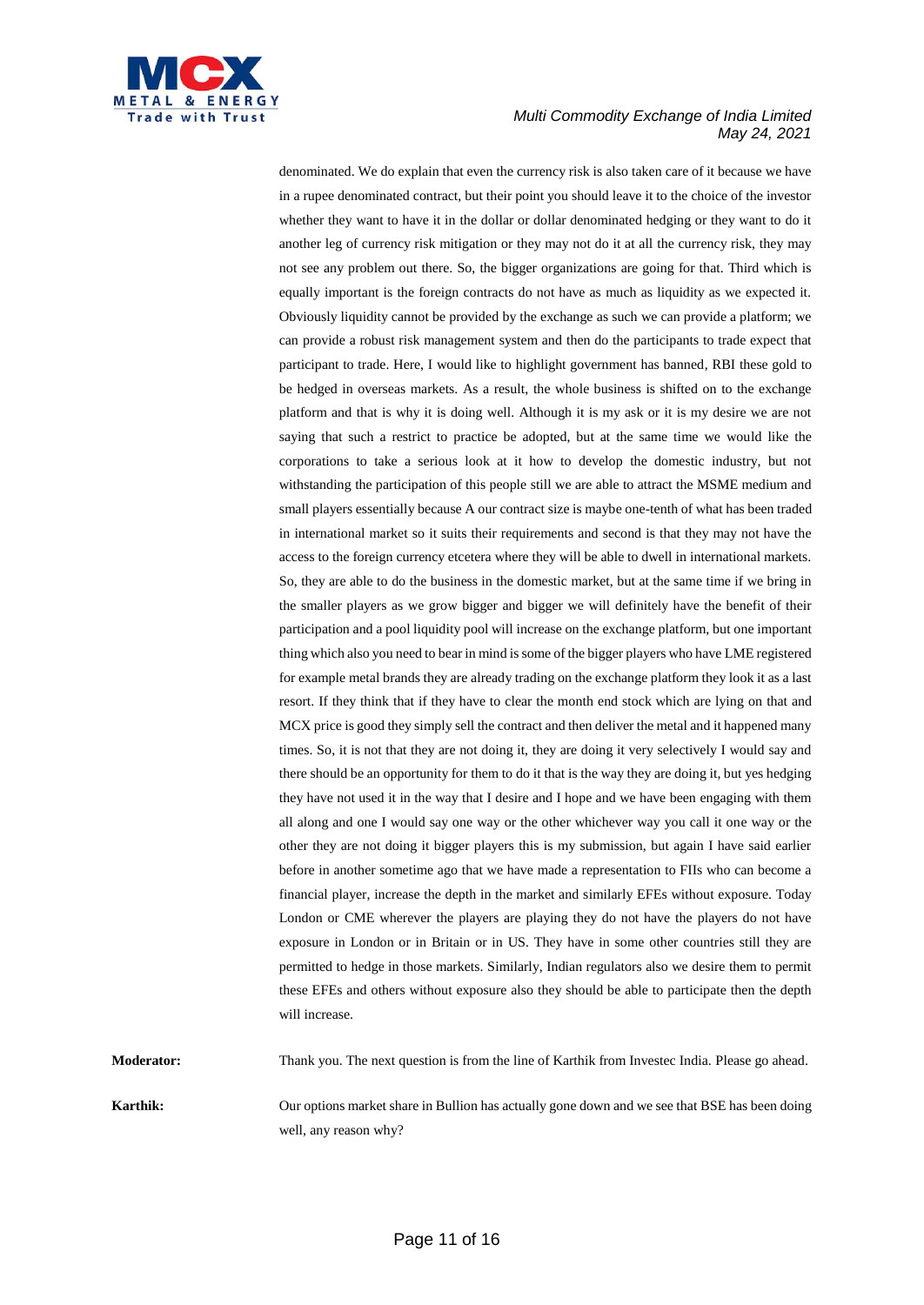

denominated. We do explain that even the currency risk is also taken care of it because we have in a rupee denominated contract, but their point you should leave it to the choice of the investor whether they want to have it in the dollar or dollar denominated hedging or they want to do it another leg of currency risk mitigation or they may not do it at all the currency risk, they may not see any problem out there. So, the bigger organizations are going for that. Third which is equally important is the foreign contracts do not have as much as liquidity as we expected it. Obviously liquidity cannot be provided by the exchange as such we can provide a platform; we can provide a robust risk management system and then do the participants to trade expect that participant to trade. Here, I would like to highlight government has banned, RBI these gold to be hedged in overseas markets. As a result, the whole business is shifted on to the exchange platform and that is why it is doing well. Although it is my ask or it is my desire we are not saying that such a restrict to practice be adopted, but at the same time we would like the corporations to take a serious look at it how to develop the domestic industry, but not withstanding the participation of this people still we are able to attract the MSME medium and small players essentially because A our contract size is maybe one-tenth of what has been traded in international market so it suits their requirements and second is that they may not have the access to the foreign currency etcetera where they will be able to dwell in international markets. So, they are able to do the business in the domestic market, but at the same time if we bring in the smaller players as we grow bigger and bigger we will definitely have the benefit of their participation and a pool liquidity pool will increase on the exchange platform, but one important thing which also you need to bear in mind is some of the bigger players who have LME registered for example metal brands they are already trading on the exchange platform they look it as a last resort. If they think that if they have to clear the month end stock which are lying on that and MCX price is good they simply sell the contract and then deliver the metal and it happened many times. So, it is not that they are not doing it, they are doing it very selectively I would say and there should be an opportunity for them to do it that is the way they are doing it, but yes hedging they have not used it in the way that I desire and I hope and we have been engaging with them all along and one I would say one way or the other whichever way you call it one way or the other they are not doing it bigger players this is my submission, but again I have said earlier before in another sometime ago that we have made a representation to FIIs who can become a financial player, increase the depth in the market and similarly EFEs without exposure. Today London or CME wherever the players are playing they do not have the players do not have exposure in London or in Britain or in US. They have in some other countries still they are permitted to hedge in those markets. Similarly, Indian regulators also we desire them to permit these EFEs and others without exposure also they should be able to participate then the depth will increase.

**Moderator:** Thank you. The next question is from the line of Karthik from Investec India. Please go ahead.

**Karthik:** Our options market share in Bullion has actually gone down and we see that BSE has been doing well, any reason why?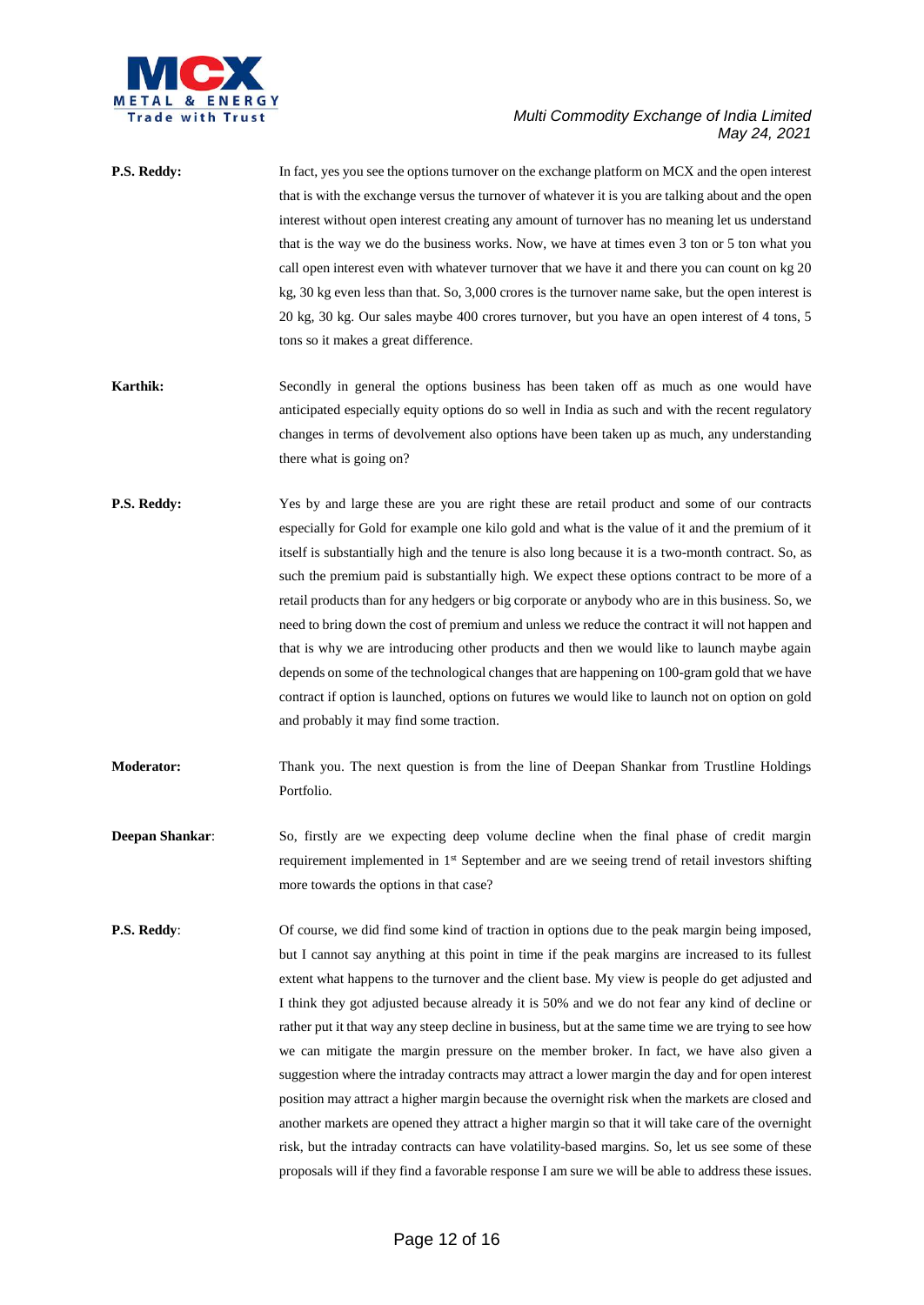

| P.S. Reddy:            | In fact, yes you see the options turnover on the exchange platform on MCX and the open interest<br>that is with the exchange versus the turnover of whatever it is you are talking about and the open |
|------------------------|-------------------------------------------------------------------------------------------------------------------------------------------------------------------------------------------------------|
|                        | interest without open interest creating any amount of turnover has no meaning let us understand                                                                                                       |
|                        | that is the way we do the business works. Now, we have at times even 3 ton or 5 ton what you                                                                                                          |
|                        | call open interest even with whatever turnover that we have it and there you can count on kg 20                                                                                                       |
|                        | kg, 30 kg even less than that. So, 3,000 crores is the turnover name sake, but the open interest is                                                                                                   |
|                        | 20 kg, 30 kg. Our sales maybe 400 crores turnover, but you have an open interest of 4 tons, 5                                                                                                         |
|                        | tons so it makes a great difference.                                                                                                                                                                  |
| <b>Karthik:</b>        | Secondly in general the options business has been taken off as much as one would have                                                                                                                 |
|                        | anticipated especially equity options do so well in India as such and with the recent regulatory                                                                                                      |
|                        | changes in terms of devolvement also options have been taken up as much, any understanding                                                                                                            |
|                        | there what is going on?                                                                                                                                                                               |
| P.S. Reddy:            | Yes by and large these are you are right these are retail product and some of our contracts                                                                                                           |
|                        | especially for Gold for example one kilo gold and what is the value of it and the premium of it                                                                                                       |
|                        | itself is substantially high and the tenure is also long because it is a two-month contract. So, as                                                                                                   |
|                        | such the premium paid is substantially high. We expect these options contract to be more of a                                                                                                         |
|                        | retail products than for any hedgers or big corporate or anybody who are in this business. So, we                                                                                                     |
|                        | need to bring down the cost of premium and unless we reduce the contract it will not happen and                                                                                                       |
|                        | that is why we are introducing other products and then we would like to launch maybe again                                                                                                            |
|                        | depends on some of the technological changes that are happening on 100-gram gold that we have                                                                                                         |
|                        | contract if option is launched, options on futures we would like to launch not on option on gold                                                                                                      |
|                        | and probably it may find some traction.                                                                                                                                                               |
| <b>Moderator:</b>      | Thank you. The next question is from the line of Deepan Shankar from Trustline Holdings<br>Portfolio.                                                                                                 |
| <b>Deepan Shankar:</b> | So, firstly are we expecting deep volume decline when the final phase of credit margin                                                                                                                |
|                        | requirement implemented in 1 <sup>st</sup> September and are we seeing trend of retail investors shifting                                                                                             |
|                        | more towards the options in that case?                                                                                                                                                                |
| <b>P.S. Reddy:</b>     | Of course, we did find some kind of traction in options due to the peak margin being imposed,                                                                                                         |
|                        | but I cannot say anything at this point in time if the peak margins are increased to its fullest                                                                                                      |
|                        | extent what happens to the turnover and the client base. My view is people do get adjusted and                                                                                                        |
|                        | I think they got adjusted because already it is 50% and we do not fear any kind of decline or                                                                                                         |
|                        | rather put it that way any steep decline in business, but at the same time we are trying to see how                                                                                                   |
|                        | we can mitigate the margin pressure on the member broker. In fact, we have also given a                                                                                                               |
|                        | suggestion where the intraday contracts may attract a lower margin the day and for open interest                                                                                                      |
|                        | position may attract a higher margin because the overnight risk when the markets are closed and                                                                                                       |
|                        | another markets are opened they attract a higher margin so that it will take care of the overnight                                                                                                    |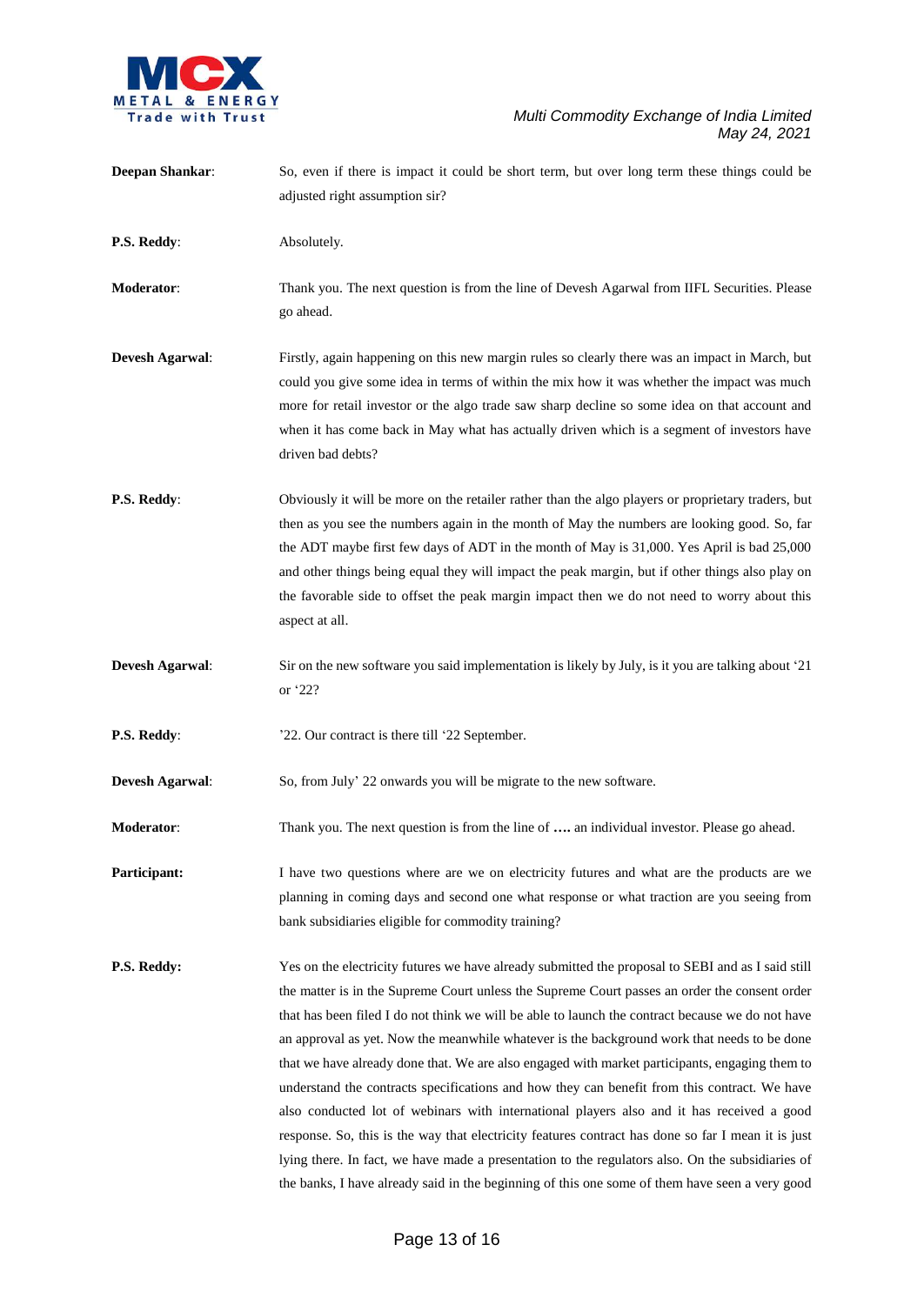

| <b>Deepan Shankar:</b> | So, even if there is impact it could be short term, but over long term these things could be<br>adjusted right assumption sir?                                                                                                                                                                                                                                                                                                                                                                                                                                                                                                                                                                                                                                                                                                                                                                                                                                                                                   |
|------------------------|------------------------------------------------------------------------------------------------------------------------------------------------------------------------------------------------------------------------------------------------------------------------------------------------------------------------------------------------------------------------------------------------------------------------------------------------------------------------------------------------------------------------------------------------------------------------------------------------------------------------------------------------------------------------------------------------------------------------------------------------------------------------------------------------------------------------------------------------------------------------------------------------------------------------------------------------------------------------------------------------------------------|
| P.S. Reddy:            | Absolutely.                                                                                                                                                                                                                                                                                                                                                                                                                                                                                                                                                                                                                                                                                                                                                                                                                                                                                                                                                                                                      |
| <b>Moderator:</b>      | Thank you. The next question is from the line of Devesh Agarwal from IIFL Securities. Please<br>go ahead.                                                                                                                                                                                                                                                                                                                                                                                                                                                                                                                                                                                                                                                                                                                                                                                                                                                                                                        |
| <b>Devesh Agarwal:</b> | Firstly, again happening on this new margin rules so clearly there was an impact in March, but<br>could you give some idea in terms of within the mix how it was whether the impact was much<br>more for retail investor or the algo trade saw sharp decline so some idea on that account and<br>when it has come back in May what has actually driven which is a segment of investors have<br>driven bad debts?                                                                                                                                                                                                                                                                                                                                                                                                                                                                                                                                                                                                 |
| P.S. Reddy:            | Obviously it will be more on the retailer rather than the algo players or proprietary traders, but<br>then as you see the numbers again in the month of May the numbers are looking good. So, far<br>the ADT maybe first few days of ADT in the month of May is 31,000. Yes April is bad 25,000<br>and other things being equal they will impact the peak margin, but if other things also play on<br>the favorable side to offset the peak margin impact then we do not need to worry about this<br>aspect at all.                                                                                                                                                                                                                                                                                                                                                                                                                                                                                              |
| <b>Devesh Agarwal:</b> | Sir on the new software you said implementation is likely by July, is it you are talking about '21<br>or '22?                                                                                                                                                                                                                                                                                                                                                                                                                                                                                                                                                                                                                                                                                                                                                                                                                                                                                                    |
| P.S. Reddy:            | '22. Our contract is there till '22 September.                                                                                                                                                                                                                                                                                                                                                                                                                                                                                                                                                                                                                                                                                                                                                                                                                                                                                                                                                                   |
| <b>Devesh Agarwal:</b> | So, from July' 22 onwards you will be migrate to the new software.                                                                                                                                                                                                                                                                                                                                                                                                                                                                                                                                                                                                                                                                                                                                                                                                                                                                                                                                               |
| Moderator:             | Thank you. The next question is from the line of  an individual investor. Please go ahead.                                                                                                                                                                                                                                                                                                                                                                                                                                                                                                                                                                                                                                                                                                                                                                                                                                                                                                                       |
| Participant:           | I have two questions where are we on electricity futures and what are the products are we<br>planning in coming days and second one what response or what traction are you seeing from<br>bank subsidiaries eligible for commodity training?                                                                                                                                                                                                                                                                                                                                                                                                                                                                                                                                                                                                                                                                                                                                                                     |
| P.S. Reddy:            | Yes on the electricity futures we have already submitted the proposal to SEBI and as I said still<br>the matter is in the Supreme Court unless the Supreme Court passes an order the consent order<br>that has been filed I do not think we will be able to launch the contract because we do not have<br>an approval as yet. Now the meanwhile whatever is the background work that needs to be done<br>that we have already done that. We are also engaged with market participants, engaging them to<br>understand the contracts specifications and how they can benefit from this contract. We have<br>also conducted lot of webinars with international players also and it has received a good<br>response. So, this is the way that electricity features contract has done so far I mean it is just<br>lying there. In fact, we have made a presentation to the regulators also. On the subsidiaries of<br>the banks, I have already said in the beginning of this one some of them have seen a very good |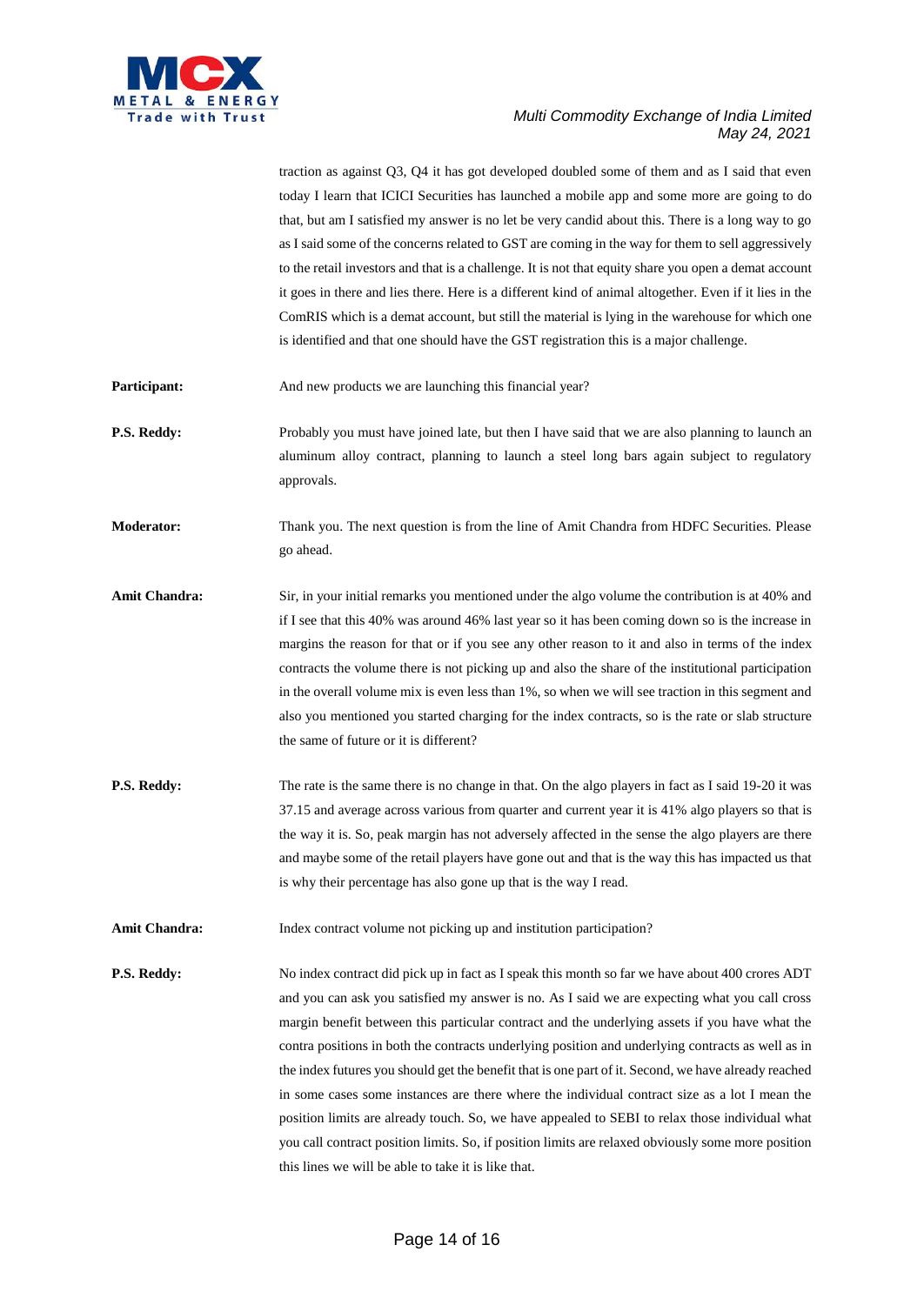

traction as against Q3, Q4 it has got developed doubled some of them and as I said that even today I learn that ICICI Securities has launched a mobile app and some more are going to do that, but am I satisfied my answer is no let be very candid about this. There is a long way to go as I said some of the concerns related to GST are coming in the way for them to sell aggressively to the retail investors and that is a challenge. It is not that equity share you open a demat account it goes in there and lies there. Here is a different kind of animal altogether. Even if it lies in the ComRIS which is a demat account, but still the material is lying in the warehouse for which one is identified and that one should have the GST registration this is a major challenge.

**Participant:** And new products we are launching this financial year?

**P.S. Reddy:** Probably you must have joined late, but then I have said that we are also planning to launch an aluminum alloy contract, planning to launch a steel long bars again subject to regulatory approvals.

**Moderator:** Thank you. The next question is from the line of Amit Chandra from HDFC Securities. Please go ahead.

- Amit Chandra: Sir, in your initial remarks you mentioned under the algo volume the contribution is at 40% and if I see that this 40% was around 46% last year so it has been coming down so is the increase in margins the reason for that or if you see any other reason to it and also in terms of the index contracts the volume there is not picking up and also the share of the institutional participation in the overall volume mix is even less than 1%, so when we will see traction in this segment and also you mentioned you started charging for the index contracts, so is the rate or slab structure the same of future or it is different?
- **P.S. Reddy:** The rate is the same there is no change in that. On the algo players in fact as I said 19-20 it was 37.15 and average across various from quarter and current year it is 41% algo players so that is the way it is. So, peak margin has not adversely affected in the sense the algo players are there and maybe some of the retail players have gone out and that is the way this has impacted us that is why their percentage has also gone up that is the way I read.

**Amit Chandra:** Index contract volume not picking up and institution participation?

**P.S. Reddy:** No index contract did pick up in fact as I speak this month so far we have about 400 crores ADT and you can ask you satisfied my answer is no. As I said we are expecting what you call cross margin benefit between this particular contract and the underlying assets if you have what the contra positions in both the contracts underlying position and underlying contracts as well as in the index futures you should get the benefit that is one part of it. Second, we have already reached in some cases some instances are there where the individual contract size as a lot I mean the position limits are already touch. So, we have appealed to SEBI to relax those individual what you call contract position limits. So, if position limits are relaxed obviously some more position this lines we will be able to take it is like that.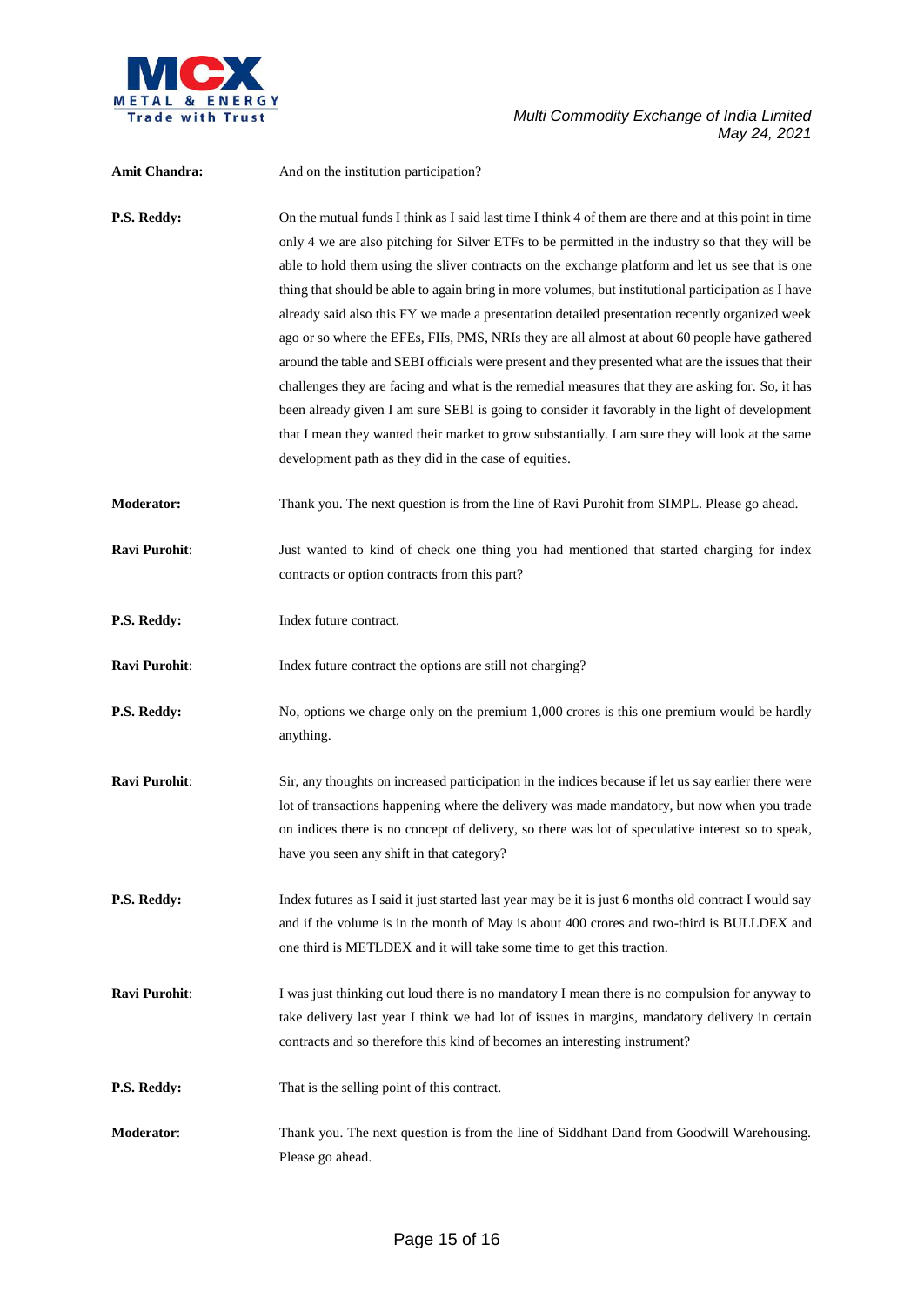

| Amit Chandra:        | And on the institution participation?                                                                                                                                                                                                                                                                                                                                                                                                                                                                                                                                                                                                                                                                                                                                                                                                                                                                                                                                                                                                                                                               |
|----------------------|-----------------------------------------------------------------------------------------------------------------------------------------------------------------------------------------------------------------------------------------------------------------------------------------------------------------------------------------------------------------------------------------------------------------------------------------------------------------------------------------------------------------------------------------------------------------------------------------------------------------------------------------------------------------------------------------------------------------------------------------------------------------------------------------------------------------------------------------------------------------------------------------------------------------------------------------------------------------------------------------------------------------------------------------------------------------------------------------------------|
| P.S. Reddy:          | On the mutual funds I think as I said last time I think 4 of them are there and at this point in time<br>only 4 we are also pitching for Silver ETFs to be permitted in the industry so that they will be<br>able to hold them using the sliver contracts on the exchange platform and let us see that is one<br>thing that should be able to again bring in more volumes, but institutional participation as I have<br>already said also this FY we made a presentation detailed presentation recently organized week<br>ago or so where the EFEs, FIIs, PMS, NRIs they are all almost at about 60 people have gathered<br>around the table and SEBI officials were present and they presented what are the issues that their<br>challenges they are facing and what is the remedial measures that they are asking for. So, it has<br>been already given I am sure SEBI is going to consider it favorably in the light of development<br>that I mean they wanted their market to grow substantially. I am sure they will look at the same<br>development path as they did in the case of equities. |
| <b>Moderator:</b>    | Thank you. The next question is from the line of Ravi Purohit from SIMPL. Please go ahead.                                                                                                                                                                                                                                                                                                                                                                                                                                                                                                                                                                                                                                                                                                                                                                                                                                                                                                                                                                                                          |
| <b>Ravi Purohit:</b> | Just wanted to kind of check one thing you had mentioned that started charging for index<br>contracts or option contracts from this part?                                                                                                                                                                                                                                                                                                                                                                                                                                                                                                                                                                                                                                                                                                                                                                                                                                                                                                                                                           |
| P.S. Reddy:          | Index future contract.                                                                                                                                                                                                                                                                                                                                                                                                                                                                                                                                                                                                                                                                                                                                                                                                                                                                                                                                                                                                                                                                              |
| Ravi Purohit:        | Index future contract the options are still not charging?                                                                                                                                                                                                                                                                                                                                                                                                                                                                                                                                                                                                                                                                                                                                                                                                                                                                                                                                                                                                                                           |
| P.S. Reddy:          | No, options we charge only on the premium 1,000 crores is this one premium would be hardly<br>anything.                                                                                                                                                                                                                                                                                                                                                                                                                                                                                                                                                                                                                                                                                                                                                                                                                                                                                                                                                                                             |
| Ravi Purohit:        | Sir, any thoughts on increased participation in the indices because if let us say earlier there were<br>lot of transactions happening where the delivery was made mandatory, but now when you trade<br>on indices there is no concept of delivery, so there was lot of speculative interest so to speak,<br>have you seen any shift in that category?                                                                                                                                                                                                                                                                                                                                                                                                                                                                                                                                                                                                                                                                                                                                               |
| P.S. Reddy:          | Index futures as I said it just started last year may be it is just 6 months old contract I would say<br>and if the volume is in the month of May is about 400 crores and two-third is BULLDEX and<br>one third is METLDEX and it will take some time to get this traction.                                                                                                                                                                                                                                                                                                                                                                                                                                                                                                                                                                                                                                                                                                                                                                                                                         |
| Ravi Purohit:        | I was just thinking out loud there is no mandatory I mean there is no compulsion for anyway to<br>take delivery last year I think we had lot of issues in margins, mandatory delivery in certain<br>contracts and so therefore this kind of becomes an interesting instrument?                                                                                                                                                                                                                                                                                                                                                                                                                                                                                                                                                                                                                                                                                                                                                                                                                      |
| P.S. Reddy:          | That is the selling point of this contract.                                                                                                                                                                                                                                                                                                                                                                                                                                                                                                                                                                                                                                                                                                                                                                                                                                                                                                                                                                                                                                                         |
| Moderator:           | Thank you. The next question is from the line of Siddhant Dand from Goodwill Warehousing.<br>Please go ahead.                                                                                                                                                                                                                                                                                                                                                                                                                                                                                                                                                                                                                                                                                                                                                                                                                                                                                                                                                                                       |